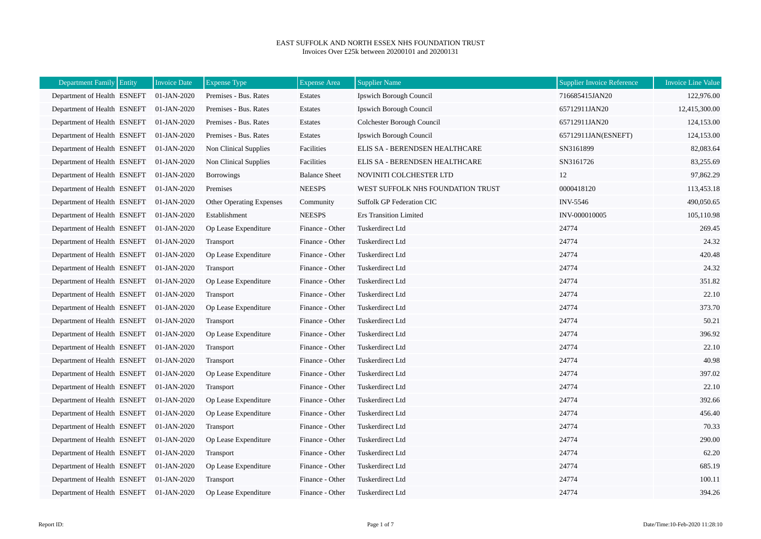## EAST SUFFOLK AND NORTH ESSEX NHS FOUNDATION TRUST Invoices Over £25k between 20200101 and 20200131

| Department Family Entity    | <b>Invoice Date</b> | <b>Expense Type</b>      | <b>Expense Area</b>  | <b>Supplier Name</b>              | <b>Supplier Invoice Reference</b> | <b>Invoice Line Value</b> |
|-----------------------------|---------------------|--------------------------|----------------------|-----------------------------------|-----------------------------------|---------------------------|
| Department of Health ESNEFT | 01-JAN-2020         | Premises - Bus. Rates    | Estates              | Ipswich Borough Council           | 716685415JAN20                    | 122,976.00                |
| Department of Health ESNEFT | 01-JAN-2020         | Premises - Bus. Rates    | Estates              | Ipswich Borough Council           | 65712911JAN20                     | 12,415,300.00             |
| Department of Health ESNEFT | 01-JAN-2020         | Premises - Bus. Rates    | Estates              | Colchester Borough Council        | 65712911JAN20                     | 124,153.00                |
| Department of Health ESNEFT | 01-JAN-2020         | Premises - Bus. Rates    | Estates              | <b>Ipswich Borough Council</b>    | 65712911JAN(ESNEFT)               | 124,153.00                |
| Department of Health ESNEFT | 01-JAN-2020         | Non Clinical Supplies    | Facilities           | ELIS SA - BERENDSEN HEALTHCARE    | SN3161899                         | 82,083.64                 |
| Department of Health ESNEFT | 01-JAN-2020         | Non Clinical Supplies    | Facilities           | ELIS SA - BERENDSEN HEALTHCARE    | SN3161726                         | 83,255.69                 |
| Department of Health ESNEFT | 01-JAN-2020         | <b>Borrowings</b>        | <b>Balance Sheet</b> | NOVINITI COLCHESTER LTD           | 12                                | 97,862.29                 |
| Department of Health ESNEFT | 01-JAN-2020         | Premises                 | <b>NEESPS</b>        | WEST SUFFOLK NHS FOUNDATION TRUST | 0000418120                        | 113,453.18                |
| Department of Health ESNEFT | 01-JAN-2020         | Other Operating Expenses | Community            | Suffolk GP Federation CIC         | INV-5546                          | 490,050.65                |
| Department of Health ESNEFT | 01-JAN-2020         | Establishment            | <b>NEESPS</b>        | <b>Ers Transition Limited</b>     | INV-000010005                     | 105,110.98                |
| Department of Health ESNEFT | 01-JAN-2020         | Op Lease Expenditure     | Finance - Other      | Tuskerdirect Ltd                  | 24774                             | 269.45                    |
| Department of Health ESNEFT | 01-JAN-2020         | Transport                | Finance - Other      | Tuskerdirect Ltd                  | 24774                             | 24.32                     |
| Department of Health ESNEFT | 01-JAN-2020         | Op Lease Expenditure     | Finance - Other      | Tuskerdirect Ltd                  | 24774                             | 420.48                    |
| Department of Health ESNEFT | 01-JAN-2020         | Transport                | Finance - Other      | Tuskerdirect Ltd                  | 24774                             | 24.32                     |
| Department of Health ESNEFT | 01-JAN-2020         | Op Lease Expenditure     | Finance - Other      | Tuskerdirect Ltd                  | 24774                             | 351.82                    |
| Department of Health ESNEFT | 01-JAN-2020         | Transport                | Finance - Other      | Tuskerdirect Ltd                  | 24774                             | 22.10                     |
| Department of Health ESNEFT | 01-JAN-2020         | Op Lease Expenditure     | Finance - Other      | Tuskerdirect Ltd                  | 24774                             | 373.70                    |
| Department of Health ESNEFT | 01-JAN-2020         | Transport                | Finance - Other      | Tuskerdirect Ltd                  | 24774                             | 50.21                     |
| Department of Health ESNEFT | 01-JAN-2020         | Op Lease Expenditure     | Finance - Other      | Tuskerdirect Ltd                  | 24774                             | 396.92                    |
| Department of Health ESNEFT | 01-JAN-2020         | Transport                | Finance - Other      | Tuskerdirect Ltd                  | 24774                             | 22.10                     |
| Department of Health ESNEFT | 01-JAN-2020         | Transport                | Finance - Other      | Tuskerdirect Ltd                  | 24774                             | 40.98                     |
| Department of Health ESNEFT | 01-JAN-2020         | Op Lease Expenditure     | Finance - Other      | Tuskerdirect Ltd                  | 24774                             | 397.02                    |
| Department of Health ESNEFT | 01-JAN-2020         | Transport                | Finance - Other      | Tuskerdirect Ltd                  | 24774                             | 22.10                     |
| Department of Health ESNEFT | 01-JAN-2020         | Op Lease Expenditure     | Finance - Other      | Tuskerdirect Ltd                  | 24774                             | 392.66                    |
| Department of Health ESNEFT | 01-JAN-2020         | Op Lease Expenditure     | Finance - Other      | Tuskerdirect Ltd                  | 24774                             | 456.40                    |
| Department of Health ESNEFT | 01-JAN-2020         | Transport                | Finance - Other      | Tuskerdirect Ltd                  | 24774                             | 70.33                     |
| Department of Health ESNEFT | 01-JAN-2020         | Op Lease Expenditure     | Finance - Other      | Tuskerdirect Ltd                  | 24774                             | 290.00                    |
| Department of Health ESNEFT | 01-JAN-2020         | Transport                | Finance - Other      | Tuskerdirect Ltd                  | 24774                             | 62.20                     |
| Department of Health ESNEFT | 01-JAN-2020         | Op Lease Expenditure     | Finance - Other      | Tuskerdirect Ltd                  | 24774                             | 685.19                    |
| Department of Health ESNEFT | 01-JAN-2020         | Transport                | Finance - Other      | Tuskerdirect Ltd                  | 24774                             | 100.11                    |
| Department of Health ESNEFT | 01-JAN-2020         | Op Lease Expenditure     | Finance - Other      | Tuskerdirect Ltd                  | 24774                             | 394.26                    |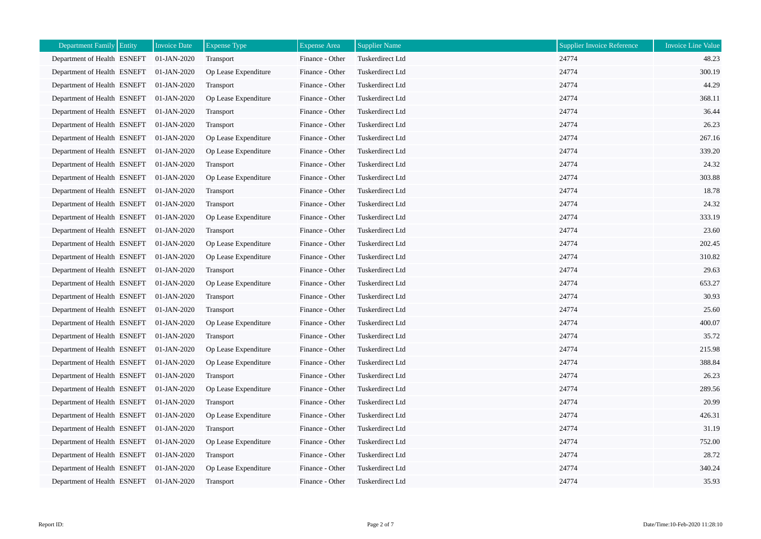| <b>Department Family</b><br>Entity | <b>Invoice Date</b> | <b>Expense Type</b>  | <b>Expense Area</b> | <b>Supplier Name</b> | <b>Supplier Invoice Reference</b> | <b>Invoice Line Value</b> |
|------------------------------------|---------------------|----------------------|---------------------|----------------------|-----------------------------------|---------------------------|
| Department of Health ESNEFT        | 01-JAN-2020         | Transport            | Finance - Other     | Tuskerdirect Ltd     | 24774                             | 48.23                     |
| Department of Health ESNEFT        | 01-JAN-2020         | Op Lease Expenditure | Finance - Other     | Tuskerdirect Ltd     | 24774                             | 300.19                    |
| Department of Health ESNEFT        | 01-JAN-2020         | Transport            | Finance - Other     | Tuskerdirect Ltd     | 24774                             | 44.29                     |
| Department of Health ESNEFT        | 01-JAN-2020         | Op Lease Expenditure | Finance - Other     | Tuskerdirect Ltd     | 24774                             | 368.11                    |
| Department of Health ESNEFT        | 01-JAN-2020         | Transport            | Finance - Other     | Tuskerdirect Ltd     | 24774                             | 36.44                     |
| Department of Health ESNEFT        | 01-JAN-2020         | Transport            | Finance - Other     | Tuskerdirect Ltd     | 24774                             | 26.23                     |
| Department of Health ESNEFT        | 01-JAN-2020         | Op Lease Expenditure | Finance - Other     | Tuskerdirect Ltd     | 24774                             | 267.16                    |
| Department of Health ESNEFT        | 01-JAN-2020         | Op Lease Expenditure | Finance - Other     | Tuskerdirect Ltd     | 24774                             | 339.20                    |
| Department of Health ESNEFT        | 01-JAN-2020         | Transport            | Finance - Other     | Tuskerdirect Ltd     | 24774                             | 24.32                     |
| Department of Health ESNEFT        | 01-JAN-2020         | Op Lease Expenditure | Finance - Other     | Tuskerdirect Ltd     | 24774                             | 303.88                    |
| Department of Health ESNEFT        | 01-JAN-2020         | <b>Transport</b>     | Finance - Other     | Tuskerdirect Ltd     | 24774                             | 18.78                     |
| Department of Health ESNEFT        | 01-JAN-2020         | Transport            | Finance - Other     | Tuskerdirect Ltd     | 24774                             | 24.32                     |
| Department of Health ESNEFT        | 01-JAN-2020         | Op Lease Expenditure | Finance - Other     | Tuskerdirect Ltd     | 24774                             | 333.19                    |
| Department of Health ESNEFT        | 01-JAN-2020         | Transport            | Finance - Other     | Tuskerdirect Ltd     | 24774                             | 23.60                     |
| Department of Health ESNEFT        | 01-JAN-2020         | Op Lease Expenditure | Finance - Other     | Tuskerdirect Ltd     | 24774                             | 202.45                    |
| Department of Health ESNEFT        | 01-JAN-2020         | Op Lease Expenditure | Finance - Other     | Tuskerdirect Ltd     | 24774                             | 310.82                    |
| Department of Health ESNEFT        | 01-JAN-2020         | Transport            | Finance - Other     | Tuskerdirect Ltd     | 24774                             | 29.63                     |
| Department of Health ESNEFT        | 01-JAN-2020         | Op Lease Expenditure | Finance - Other     | Tuskerdirect Ltd     | 24774                             | 653.27                    |
| Department of Health ESNEFT        | 01-JAN-2020         | Transport            | Finance - Other     | Tuskerdirect Ltd     | 24774                             | 30.93                     |
| Department of Health ESNEFT        | 01-JAN-2020         | Transport            | Finance - Other     | Tuskerdirect Ltd     | 24774                             | 25.60                     |
| Department of Health ESNEFT        | 01-JAN-2020         | Op Lease Expenditure | Finance - Other     | Tuskerdirect Ltd     | 24774                             | 400.07                    |
| Department of Health ESNEFT        | 01-JAN-2020         | Transport            | Finance - Other     | Tuskerdirect Ltd     | 24774                             | 35.72                     |
| Department of Health ESNEFT        | 01-JAN-2020         | Op Lease Expenditure | Finance - Other     | Tuskerdirect Ltd     | 24774                             | 215.98                    |
| Department of Health ESNEFT        | 01-JAN-2020         | Op Lease Expenditure | Finance - Other     | Tuskerdirect Ltd     | 24774                             | 388.84                    |
| Department of Health ESNEFT        | 01-JAN-2020         | Transport            | Finance - Other     | Tuskerdirect Ltd     | 24774                             | 26.23                     |
| Department of Health ESNEFT        | 01-JAN-2020         | Op Lease Expenditure | Finance - Other     | Tuskerdirect Ltd     | 24774                             | 289.56                    |
| Department of Health ESNEFT        | 01-JAN-2020         | Transport            | Finance - Other     | Tuskerdirect Ltd     | 24774                             | 20.99                     |
| Department of Health ESNEFT        | 01-JAN-2020         | Op Lease Expenditure | Finance - Other     | Tuskerdirect Ltd     | 24774                             | 426.31                    |
| Department of Health ESNEFT        | 01-JAN-2020         | Transport            | Finance - Other     | Tuskerdirect Ltd     | 24774                             | 31.19                     |
| Department of Health ESNEFT        | 01-JAN-2020         | Op Lease Expenditure | Finance - Other     | Tuskerdirect Ltd     | 24774                             | 752.00                    |
| Department of Health ESNEFT        | 01-JAN-2020         | Transport            | Finance - Other     | Tuskerdirect Ltd     | 24774                             | 28.72                     |
| Department of Health ESNEFT        | 01-JAN-2020         | Op Lease Expenditure | Finance - Other     | Tuskerdirect Ltd     | 24774                             | 340.24                    |
| Department of Health ESNEFT        | 01-JAN-2020         | Transport            | Finance - Other     | Tuskerdirect Ltd     | 24774                             | 35.93                     |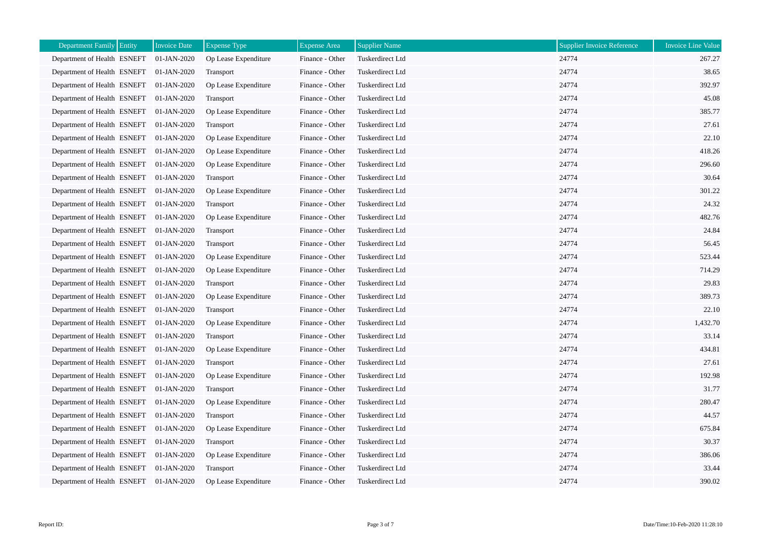| <b>Department Family</b><br>Entity | <b>Invoice Date</b> | <b>Expense Type</b>  | <b>Expense Area</b> | <b>Supplier Name</b> | <b>Supplier Invoice Reference</b> | <b>Invoice Line Value</b> |
|------------------------------------|---------------------|----------------------|---------------------|----------------------|-----------------------------------|---------------------------|
| Department of Health ESNEFT        | 01-JAN-2020         | Op Lease Expenditure | Finance - Other     | Tuskerdirect Ltd     | 24774                             | 267.27                    |
| Department of Health ESNEFT        | 01-JAN-2020         | Transport            | Finance - Other     | Tuskerdirect Ltd     | 24774                             | 38.65                     |
| Department of Health ESNEFT        | 01-JAN-2020         | Op Lease Expenditure | Finance - Other     | Tuskerdirect Ltd     | 24774                             | 392.97                    |
| Department of Health ESNEFT        | 01-JAN-2020         | Transport            | Finance - Other     | Tuskerdirect Ltd     | 24774                             | 45.08                     |
| Department of Health ESNEFT        | 01-JAN-2020         | Op Lease Expenditure | Finance - Other     | Tuskerdirect Ltd     | 24774                             | 385.77                    |
| Department of Health ESNEFT        | 01-JAN-2020         | Transport            | Finance - Other     | Tuskerdirect Ltd     | 24774                             | 27.61                     |
| Department of Health ESNEFT        | 01-JAN-2020         | Op Lease Expenditure | Finance - Other     | Tuskerdirect Ltd     | 24774                             | 22.10                     |
| Department of Health ESNEFT        | 01-JAN-2020         | Op Lease Expenditure | Finance - Other     | Tuskerdirect Ltd     | 24774                             | 418.26                    |
| Department of Health ESNEFT        | 01-JAN-2020         | Op Lease Expenditure | Finance - Other     | Tuskerdirect Ltd     | 24774                             | 296.60                    |
| Department of Health ESNEFT        | 01-JAN-2020         | Transport            | Finance - Other     | Tuskerdirect Ltd     | 24774                             | 30.64                     |
| Department of Health ESNEFT        | 01-JAN-2020         | Op Lease Expenditure | Finance - Other     | Tuskerdirect Ltd     | 24774                             | 301.22                    |
| Department of Health ESNEFT        | 01-JAN-2020         | Transport            | Finance - Other     | Tuskerdirect Ltd     | 24774                             | 24.32                     |
| Department of Health ESNEFT        | 01-JAN-2020         | Op Lease Expenditure | Finance - Other     | Tuskerdirect Ltd     | 24774                             | 482.76                    |
| Department of Health ESNEFT        | 01-JAN-2020         | Transport            | Finance - Other     | Tuskerdirect Ltd     | 24774                             | 24.84                     |
| Department of Health ESNEFT        | 01-JAN-2020         | Transport            | Finance - Other     | Tuskerdirect Ltd     | 24774                             | 56.45                     |
| Department of Health ESNEFT        | 01-JAN-2020         | Op Lease Expenditure | Finance - Other     | Tuskerdirect Ltd     | 24774                             | 523.44                    |
| Department of Health ESNEFT        | 01-JAN-2020         | Op Lease Expenditure | Finance - Other     | Tuskerdirect Ltd     | 24774                             | 714.29                    |
| Department of Health ESNEFT        | 01-JAN-2020         | Transport            | Finance - Other     | Tuskerdirect Ltd     | 24774                             | 29.83                     |
| Department of Health ESNEFT        | 01-JAN-2020         | Op Lease Expenditure | Finance - Other     | Tuskerdirect Ltd     | 24774                             | 389.73                    |
| Department of Health ESNEFT        | 01-JAN-2020         | Transport            | Finance - Other     | Tuskerdirect Ltd     | 24774                             | 22.10                     |
| Department of Health ESNEFT        | 01-JAN-2020         | Op Lease Expenditure | Finance - Other     | Tuskerdirect Ltd     | 24774                             | 1,432.70                  |
| Department of Health ESNEFT        | 01-JAN-2020         | Transport            | Finance - Other     | Tuskerdirect Ltd     | 24774                             | 33.14                     |
| Department of Health ESNEFT        | 01-JAN-2020         | Op Lease Expenditure | Finance - Other     | Tuskerdirect Ltd     | 24774                             | 434.81                    |
| Department of Health ESNEFT        | 01-JAN-2020         | Transport            | Finance - Other     | Tuskerdirect Ltd     | 24774                             | 27.61                     |
| Department of Health ESNEFT        | 01-JAN-2020         | Op Lease Expenditure | Finance - Other     | Tuskerdirect Ltd     | 24774                             | 192.98                    |
| Department of Health ESNEFT        | 01-JAN-2020         | Transport            | Finance - Other     | Tuskerdirect Ltd     | 24774                             | 31.77                     |
| Department of Health ESNEFT        | 01-JAN-2020         | Op Lease Expenditure | Finance - Other     | Tuskerdirect Ltd     | 24774                             | 280.47                    |
| Department of Health ESNEFT        | 01-JAN-2020         | Transport            | Finance - Other     | Tuskerdirect Ltd     | 24774                             | 44.57                     |
| Department of Health ESNEFT        | 01-JAN-2020         | Op Lease Expenditure | Finance - Other     | Tuskerdirect Ltd     | 24774                             | 675.84                    |
| Department of Health ESNEFT        | 01-JAN-2020         | Transport            | Finance - Other     | Tuskerdirect Ltd     | 24774                             | 30.37                     |
| Department of Health ESNEFT        | 01-JAN-2020         | Op Lease Expenditure | Finance - Other     | Tuskerdirect Ltd     | 24774                             | 386.06                    |
| Department of Health ESNEFT        | 01-JAN-2020         | Transport            | Finance - Other     | Tuskerdirect Ltd     | 24774                             | 33.44                     |
| Department of Health ESNEFT        | 01-JAN-2020         | Op Lease Expenditure | Finance - Other     | Tuskerdirect Ltd     | 24774                             | 390.02                    |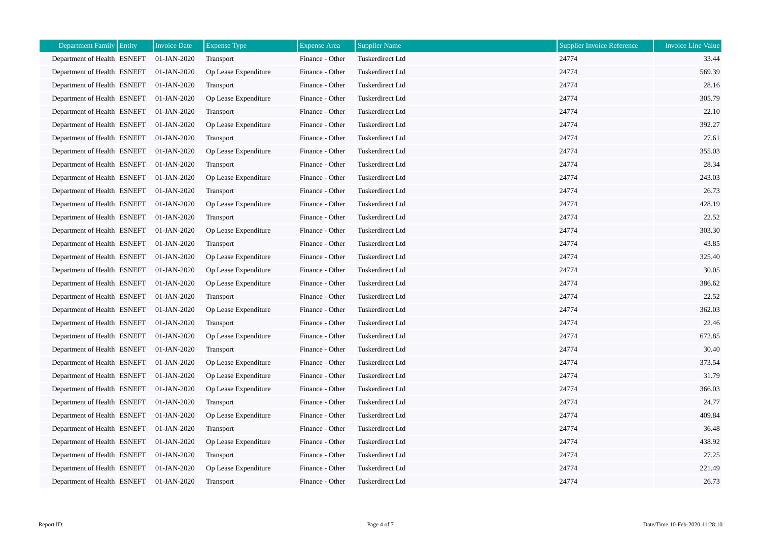| <b>Department Family</b><br>Entity | <b>Invoice Date</b> | <b>Expense Type</b>  | <b>Expense Area</b> | <b>Supplier Name</b> | <b>Supplier Invoice Reference</b> | <b>Invoice Line Value</b> |
|------------------------------------|---------------------|----------------------|---------------------|----------------------|-----------------------------------|---------------------------|
| Department of Health ESNEFT        | 01-JAN-2020         | Transport            | Finance - Other     | Tuskerdirect Ltd     | 24774                             | 33.44                     |
| Department of Health ESNEFT        | 01-JAN-2020         | Op Lease Expenditure | Finance - Other     | Tuskerdirect Ltd     | 24774                             | 569.39                    |
| Department of Health ESNEFT        | 01-JAN-2020         | Transport            | Finance - Other     | Tuskerdirect Ltd     | 24774                             | 28.16                     |
| Department of Health ESNEFT        | 01-JAN-2020         | Op Lease Expenditure | Finance - Other     | Tuskerdirect Ltd     | 24774                             | 305.79                    |
| Department of Health ESNEFT        | 01-JAN-2020         | Transport            | Finance - Other     | Tuskerdirect Ltd     | 24774                             | 22.10                     |
| Department of Health ESNEFT        | 01-JAN-2020         | Op Lease Expenditure | Finance - Other     | Tuskerdirect Ltd     | 24774                             | 392.27                    |
| Department of Health ESNEFT        | 01-JAN-2020         | Transport            | Finance - Other     | Tuskerdirect Ltd     | 24774                             | 27.61                     |
| Department of Health ESNEFT        | 01-JAN-2020         | Op Lease Expenditure | Finance - Other     | Tuskerdirect Ltd     | 24774                             | 355.03                    |
| Department of Health ESNEFT        | 01-JAN-2020         | Transport            | Finance - Other     | Tuskerdirect Ltd     | 24774                             | 28.34                     |
| Department of Health ESNEFT        | 01-JAN-2020         | Op Lease Expenditure | Finance - Other     | Tuskerdirect Ltd     | 24774                             | 243.03                    |
| Department of Health ESNEFT        | 01-JAN-2020         | <b>Transport</b>     | Finance - Other     | Tuskerdirect Ltd     | 24774                             | 26.73                     |
| Department of Health ESNEFT        | 01-JAN-2020         | Op Lease Expenditure | Finance - Other     | Tuskerdirect Ltd     | 24774                             | 428.19                    |
| Department of Health ESNEFT        | 01-JAN-2020         | Transport            | Finance - Other     | Tuskerdirect Ltd     | 24774                             | 22.52                     |
| Department of Health ESNEFT        | 01-JAN-2020         | Op Lease Expenditure | Finance - Other     | Tuskerdirect Ltd     | 24774                             | 303.30                    |
| Department of Health ESNEFT        | 01-JAN-2020         | Transport            | Finance - Other     | Tuskerdirect Ltd     | 24774                             | 43.85                     |
| Department of Health ESNEFT        | 01-JAN-2020         | Op Lease Expenditure | Finance - Other     | Tuskerdirect Ltd     | 24774                             | 325.40                    |
| Department of Health ESNEFT        | 01-JAN-2020         | Op Lease Expenditure | Finance - Other     | Tuskerdirect Ltd     | 24774                             | 30.05                     |
| Department of Health ESNEFT        | 01-JAN-2020         | Op Lease Expenditure | Finance - Other     | Tuskerdirect Ltd     | 24774                             | 386.62                    |
| Department of Health ESNEFT        | 01-JAN-2020         | Transport            | Finance - Other     | Tuskerdirect Ltd     | 24774                             | 22.52                     |
| Department of Health ESNEFT        | 01-JAN-2020         | Op Lease Expenditure | Finance - Other     | Tuskerdirect Ltd     | 24774                             | 362.03                    |
| Department of Health ESNEFT        | 01-JAN-2020         | Transport            | Finance - Other     | Tuskerdirect Ltd     | 24774                             | 22.46                     |
| Department of Health ESNEFT        | 01-JAN-2020         | Op Lease Expenditure | Finance - Other     | Tuskerdirect Ltd     | 24774                             | 672.85                    |
| Department of Health ESNEFT        | 01-JAN-2020         | Transport            | Finance - Other     | Tuskerdirect Ltd     | 24774                             | 30.40                     |
| Department of Health ESNEFT        | 01-JAN-2020         | Op Lease Expenditure | Finance - Other     | Tuskerdirect Ltd     | 24774                             | 373.54                    |
| Department of Health ESNEFT        | 01-JAN-2020         | Op Lease Expenditure | Finance - Other     | Tuskerdirect Ltd     | 24774                             | 31.79                     |
| Department of Health ESNEFT        | 01-JAN-2020         | Op Lease Expenditure | Finance - Other     | Tuskerdirect Ltd     | 24774                             | 366.03                    |
| Department of Health ESNEFT        | 01-JAN-2020         | Transport            | Finance - Other     | Tuskerdirect Ltd     | 24774                             | 24.77                     |
| Department of Health ESNEFT        | 01-JAN-2020         | Op Lease Expenditure | Finance - Other     | Tuskerdirect Ltd     | 24774                             | 409.84                    |
| Department of Health ESNEFT        | 01-JAN-2020         | Transport            | Finance - Other     | Tuskerdirect Ltd     | 24774                             | 36.48                     |
| Department of Health ESNEFT        | 01-JAN-2020         | Op Lease Expenditure | Finance - Other     | Tuskerdirect Ltd     | 24774                             | 438.92                    |
| Department of Health ESNEFT        | 01-JAN-2020         | Transport            | Finance - Other     | Tuskerdirect Ltd     | 24774                             | 27.25                     |
| Department of Health ESNEFT        | 01-JAN-2020         | Op Lease Expenditure | Finance - Other     | Tuskerdirect Ltd     | 24774                             | 221.49                    |
| Department of Health ESNEFT        | 01-JAN-2020         | Transport            | Finance - Other     | Tuskerdirect Ltd     | 24774                             | 26.73                     |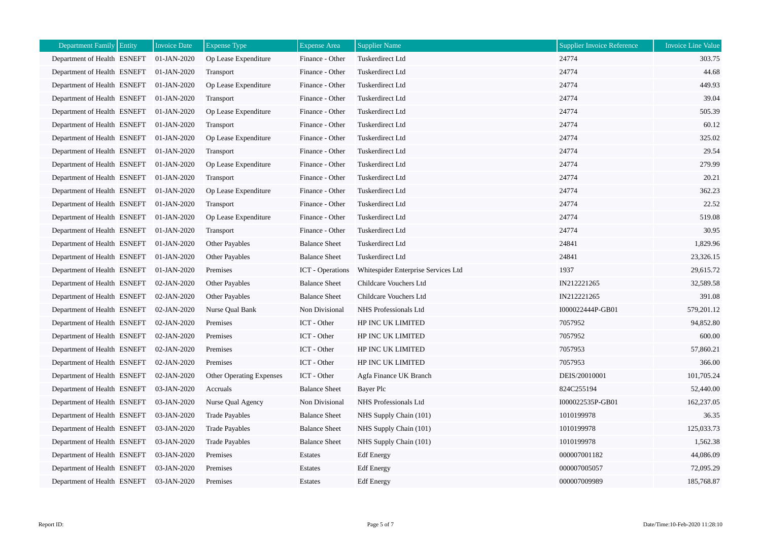| Entity<br><b>Department Family</b> | <b>Invoice Date</b> | <b>Expense Type</b>             | <b>Expense Area</b>     | <b>Supplier Name</b>                | <b>Supplier Invoice Reference</b> | <b>Invoice Line Value</b> |
|------------------------------------|---------------------|---------------------------------|-------------------------|-------------------------------------|-----------------------------------|---------------------------|
| Department of Health ESNEFT        | 01-JAN-2020         | Op Lease Expenditure            | Finance - Other         | Tuskerdirect Ltd                    | 24774                             | 303.75                    |
| Department of Health ESNEFT        | 01-JAN-2020         | Transport                       | Finance - Other         | Tuskerdirect Ltd                    | 24774                             | 44.68                     |
| Department of Health ESNEFT        | 01-JAN-2020         | Op Lease Expenditure            | Finance - Other         | Tuskerdirect Ltd                    | 24774                             | 449.93                    |
| Department of Health ESNEFT        | 01-JAN-2020         | Transport                       | Finance - Other         | Tuskerdirect Ltd                    | 24774                             | 39.04                     |
| Department of Health ESNEFT        | 01-JAN-2020         | Op Lease Expenditure            | Finance - Other         | Tuskerdirect Ltd                    | 24774                             | 505.39                    |
| Department of Health ESNEFT        | 01-JAN-2020         | Transport                       | Finance - Other         | Tuskerdirect Ltd                    | 24774                             | 60.12                     |
| Department of Health ESNEFT        | 01-JAN-2020         | Op Lease Expenditure            | Finance - Other         | Tuskerdirect Ltd                    | 24774                             | 325.02                    |
| Department of Health ESNEFT        | 01-JAN-2020         | Transport                       | Finance - Other         | Tuskerdirect Ltd                    | 24774                             | 29.54                     |
| Department of Health ESNEFT        | 01-JAN-2020         | Op Lease Expenditure            | Finance - Other         | Tuskerdirect Ltd                    | 24774                             | 279.99                    |
| Department of Health ESNEFT        | 01-JAN-2020         | Transport                       | Finance - Other         | Tuskerdirect Ltd                    | 24774                             | 20.21                     |
| Department of Health ESNEFT        | 01-JAN-2020         | Op Lease Expenditure            | Finance - Other         | Tuskerdirect Ltd                    | 24774                             | 362.23                    |
| Department of Health ESNEFT        | 01-JAN-2020         | Transport                       | Finance - Other         | Tuskerdirect Ltd                    | 24774                             | 22.52                     |
| Department of Health ESNEFT        | 01-JAN-2020         | Op Lease Expenditure            | Finance - Other         | Tuskerdirect Ltd                    | 24774                             | 519.08                    |
| Department of Health ESNEFT        | 01-JAN-2020         | Transport                       | Finance - Other         | Tuskerdirect Ltd                    | 24774                             | 30.95                     |
| Department of Health ESNEFT        | 01-JAN-2020         | Other Payables                  | <b>Balance Sheet</b>    | Tuskerdirect Ltd                    | 24841                             | 1,829.96                  |
| Department of Health ESNEFT        | 01-JAN-2020         | <b>Other Payables</b>           | <b>Balance Sheet</b>    | Tuskerdirect Ltd                    | 24841                             | 23,326.15                 |
| Department of Health ESNEFT        | 01-JAN-2020         | Premises                        | <b>ICT</b> - Operations | Whitespider Enterprise Services Ltd | 1937                              | 29,615.72                 |
| Department of Health ESNEFT        | 02-JAN-2020         | Other Payables                  | <b>Balance Sheet</b>    | Childcare Vouchers Ltd              | IN212221265                       | 32,589.58                 |
| Department of Health ESNEFT        | 02-JAN-2020         | Other Payables                  | <b>Balance Sheet</b>    | Childcare Vouchers Ltd              | IN212221265                       | 391.08                    |
| Department of Health ESNEFT        | 02-JAN-2020         | Nurse Qual Bank                 | Non Divisional          | NHS Professionals Ltd               | I000022444P-GB01                  | 579,201.12                |
| Department of Health ESNEFT        | 02-JAN-2020         | Premises                        | ICT - Other             | HP INC UK LIMITED                   | 7057952                           | 94,852.80                 |
| Department of Health ESNEFT        | 02-JAN-2020         | Premises                        | ICT - Other             | HP INC UK LIMITED                   | 7057952                           | 600.00                    |
| Department of Health ESNEFT        | 02-JAN-2020         | Premises                        | ICT - Other             | HP INC UK LIMITED                   | 7057953                           | 57,860.21                 |
| Department of Health ESNEFT        | 02-JAN-2020         | Premises                        | ICT - Other             | HP INC UK LIMITED                   | 7057953                           | 366.00                    |
| Department of Health ESNEFT        | 02-JAN-2020         | <b>Other Operating Expenses</b> | ICT - Other             | Agfa Finance UK Branch              | DEIS/20010001                     | 101,705.24                |
| Department of Health ESNEFT        | 03-JAN-2020         | Accruals                        | <b>Balance Sheet</b>    | Bayer Plc                           | 824C255194                        | 52,440.00                 |
| Department of Health ESNEFT        | 03-JAN-2020         | Nurse Qual Agency               | Non Divisional          | NHS Professionals Ltd               | I000022535P-GB01                  | 162,237.05                |
| Department of Health ESNEFT        | 03-JAN-2020         | <b>Trade Payables</b>           | <b>Balance Sheet</b>    | NHS Supply Chain (101)              | 1010199978                        | 36.35                     |
| Department of Health ESNEFT        | 03-JAN-2020         | <b>Trade Payables</b>           | <b>Balance Sheet</b>    | NHS Supply Chain (101)              | 1010199978                        | 125,033.73                |
| Department of Health ESNEFT        | 03-JAN-2020         | <b>Trade Payables</b>           | <b>Balance Sheet</b>    | NHS Supply Chain (101)              | 1010199978                        | 1,562.38                  |
| Department of Health ESNEFT        | 03-JAN-2020         | Premises                        | Estates                 | <b>Edf</b> Energy                   | 000007001182                      | 44,086.09                 |
| Department of Health ESNEFT        | 03-JAN-2020         | Premises                        | Estates                 | <b>Edf</b> Energy                   | 000007005057                      | 72,095.29                 |
| Department of Health ESNEFT        | 03-JAN-2020         | Premises                        | Estates                 | <b>Edf</b> Energy                   | 000007009989                      | 185,768.87                |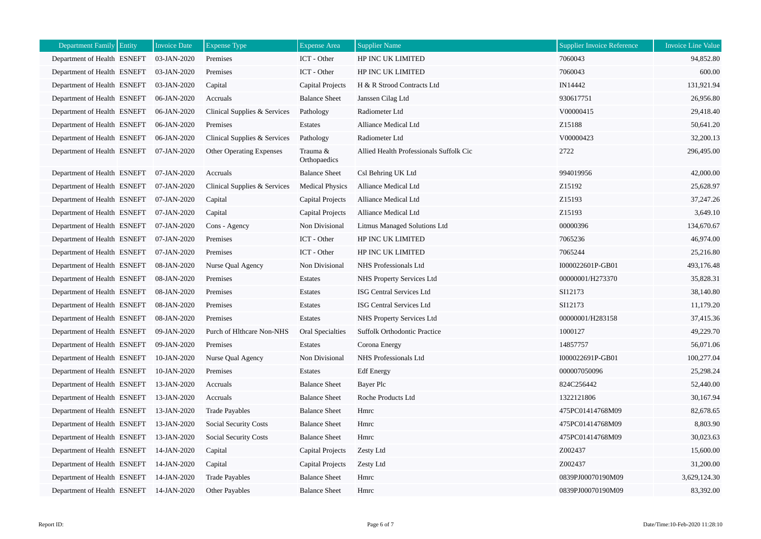| <b>Department Family</b><br>Entity | <b>Invoice Date</b> | <b>Expense Type</b>             | <b>Expense Area</b>      | <b>Supplier Name</b>                    | <b>Supplier Invoice Reference</b> | <b>Invoice Line Value</b> |
|------------------------------------|---------------------|---------------------------------|--------------------------|-----------------------------------------|-----------------------------------|---------------------------|
| Department of Health ESNEFT        | 03-JAN-2020         | Premises                        | ICT - Other              | HP INC UK LIMITED                       | 7060043                           | 94,852.80                 |
| Department of Health ESNEFT        | 03-JAN-2020         | Premises                        | ICT - Other              | HP INC UK LIMITED                       | 7060043                           | 600.00                    |
| Department of Health ESNEFT        | 03-JAN-2020         | Capital                         | <b>Capital Projects</b>  | H & R Strood Contracts Ltd              | IN14442                           | 131,921.94                |
| Department of Health ESNEFT        | 06-JAN-2020         | Accruals                        | <b>Balance Sheet</b>     | Janssen Cilag Ltd                       | 930617751                         | 26,956.80                 |
| Department of Health ESNEFT        | 06-JAN-2020         | Clinical Supplies & Services    | Pathology                | Radiometer Ltd                          | V00000415                         | 29,418.40                 |
| Department of Health ESNEFT        | 06-JAN-2020         | Premises                        | Estates                  | Alliance Medical Ltd                    | Z15188                            | 50,641.20                 |
| Department of Health ESNEFT        | 06-JAN-2020         | Clinical Supplies & Services    | Pathology                | Radiometer Ltd                          | V00000423                         | 32,200.13                 |
| Department of Health ESNEFT        | 07-JAN-2020         | <b>Other Operating Expenses</b> | Trauma &<br>Orthopaedics | Allied Health Professionals Suffolk Cic | 2722                              | 296,495.00                |
| Department of Health ESNEFT        | 07-JAN-2020         | Accruals                        | <b>Balance Sheet</b>     | Csl Behring UK Ltd                      | 994019956                         | 42,000.00                 |
| Department of Health ESNEFT        | 07-JAN-2020         | Clinical Supplies & Services    | <b>Medical Physics</b>   | Alliance Medical Ltd                    | Z15192                            | 25,628.97                 |
| Department of Health ESNEFT        | 07-JAN-2020         | Capital                         | <b>Capital Projects</b>  | Alliance Medical Ltd                    | Z15193                            | 37,247.26                 |
| Department of Health ESNEFT        | 07-JAN-2020         | Capital                         | Capital Projects         | Alliance Medical Ltd                    | Z15193                            | 3,649.10                  |
| Department of Health ESNEFT        | 07-JAN-2020         | Cons - Agency                   | Non Divisional           | Litmus Managed Solutions Ltd            | 00000396                          | 134,670.67                |
| Department of Health ESNEFT        | 07-JAN-2020         | Premises                        | ICT - Other              | HP INC UK LIMITED                       | 7065236                           | 46,974.00                 |
| Department of Health ESNEFT        | 07-JAN-2020         | Premises                        | ICT - Other              | HP INC UK LIMITED                       | 7065244                           | 25,216.80                 |
| Department of Health ESNEFT        | 08-JAN-2020         | Nurse Qual Agency               | Non Divisional           | NHS Professionals Ltd                   | I000022601P-GB01                  | 493,176.48                |
| Department of Health ESNEFT        | 08-JAN-2020         | Premises                        | <b>Estates</b>           | NHS Property Services Ltd               | 00000001/H273370                  | 35,828.31                 |
| Department of Health ESNEFT        | 08-JAN-2020         | Premises                        | Estates                  | ISG Central Services Ltd                | SI12173                           | 38,140.80                 |
| Department of Health ESNEFT        | 08-JAN-2020         | Premises                        | <b>Estates</b>           | <b>ISG Central Services Ltd</b>         | SI12173                           | 11,179.20                 |
| Department of Health ESNEFT        | 08-JAN-2020         | Premises                        | Estates                  | NHS Property Services Ltd               | 00000001/H283158                  | 37,415.36                 |
| Department of Health ESNEFT        | 09-JAN-2020         | Purch of Hlthcare Non-NHS       | Oral Specialties         | Suffolk Orthodontic Practice            | 1000127                           | 49,229.70                 |
| Department of Health ESNEFT        | 09-JAN-2020         | Premises                        | Estates                  | Corona Energy                           | 14857757                          | 56,071.06                 |
| Department of Health ESNEFT        | 10-JAN-2020         | Nurse Qual Agency               | Non Divisional           | NHS Professionals Ltd                   | I000022691P-GB01                  | 100,277.04                |
| Department of Health ESNEFT        | 10-JAN-2020         | Premises                        | Estates                  | <b>Edf</b> Energy                       | 000007050096                      | 25,298.24                 |
| Department of Health ESNEFT        | 13-JAN-2020         | Accruals                        | <b>Balance Sheet</b>     | Bayer Plc                               | 824C256442                        | 52,440.00                 |
| Department of Health ESNEFT        | 13-JAN-2020         | Accruals                        | <b>Balance Sheet</b>     | Roche Products Ltd                      | 1322121806                        | 30,167.94                 |
| Department of Health ESNEFT        | 13-JAN-2020         | <b>Trade Payables</b>           | <b>Balance Sheet</b>     | Hmrc                                    | 475PC01414768M09                  | 82,678.65                 |
| Department of Health ESNEFT        | 13-JAN-2020         | Social Security Costs           | <b>Balance Sheet</b>     | Hmrc                                    | 475PC01414768M09                  | 8,803.90                  |
| Department of Health ESNEFT        | 13-JAN-2020         | <b>Social Security Costs</b>    | <b>Balance Sheet</b>     | Hmrc                                    | 475PC01414768M09                  | 30,023.63                 |
| Department of Health ESNEFT        | 14-JAN-2020         | Capital                         | <b>Capital Projects</b>  | Zesty Ltd                               | Z002437                           | 15,600.00                 |
| Department of Health ESNEFT        | 14-JAN-2020         | Capital                         | Capital Projects         | Zesty Ltd                               | Z002437                           | 31,200.00                 |
| Department of Health ESNEFT        | 14-JAN-2020         | <b>Trade Payables</b>           | <b>Balance Sheet</b>     | Hmrc                                    | 0839PJ00070190M09                 | 3,629,124.30              |
| Department of Health ESNEFT        | 14-JAN-2020         | <b>Other Payables</b>           | <b>Balance Sheet</b>     | Hmrc                                    | 0839PJ00070190M09                 | 83,392.00                 |